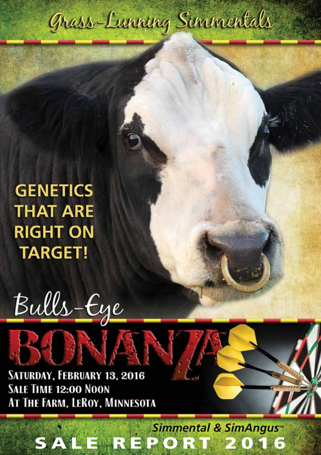

**GENETICS THAT ARE RIGHT ON TARGET!** 



### SATURDAY, FEBRUARY 13, 2016 **SALE TIME 12:00 NOON** AT THE FARM, LEROY, MINNESOTA

# SALE REPORT 2016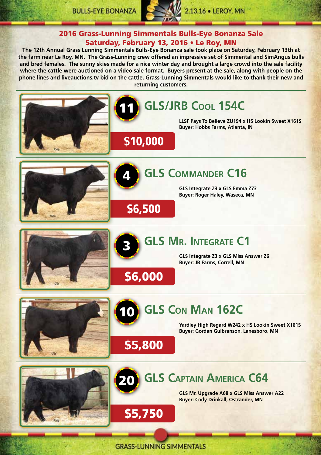

#### 2016 Grass-Lunning Simmentals Bulls-Eye Bonanza Sale Saturday, February 13, 2016 • Le Roy, MN

**The 12th Annual Grass Lunning Simmentals Bulls-Eye Bonanza sale took place on Saturday, February 13th at the farm near Le Roy, MN. The Grass-Lunning crew offered an impressive set of Simmental and SimAngus bulls and bred females. The sunny skies made for a nice winter day and brought a large crowd into the sale facility where the cattle were auctioned on a video sale format. Buyers present at the sale, along with people on the phone lines and liveauctions.tv bid on the cattle. Grass-Lunning Simmentals would like to thank their new and returning customers.**



**GRASS-LUNNING SIMMENTALS**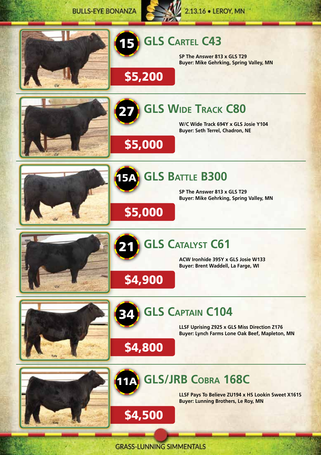**BULLS-EYE BONANZA** 





# **GLS CARTEL C43**

**SP The Answer 813 x GLS T29 Buyer: Mike Gehrking, Spring Valley, MN**





\$5,000

\$5,000

\$4,900

\$4,800

\$4,500

\$5,200

#### **GLS Wide Track C80**

**W/C Wide Track 694Y x GLS Josie Y104 Buyer: Seth Terrel, Chadron, NE**





21

34

## **15A** GLS BATTLE B300

**SP The Answer 813 x GLS T29 Buyer: Mike Gehrking, Spring Valley, MN**



# **GLS CATALYST C61**

**ACW Ironhide 395Y x GLS Josie W133 Buyer: Brent Waddell, La Farge, WI**





# **GLS Captain C104**

**LLSF Uprising Z925 x GLS Miss Direction Z176 Buyer: Lynch Farms Lone Oak Beef, Mapleton, MN**

# **GLS/JRB Cobra 168C** 11A

**LLSF Pays To Believe ZU194 x HS Lookin Sweet X161S Buyer: Lunning Brothers, Le Roy, MN**

is.

**GRASS-LUNNING SIMMENTALS**